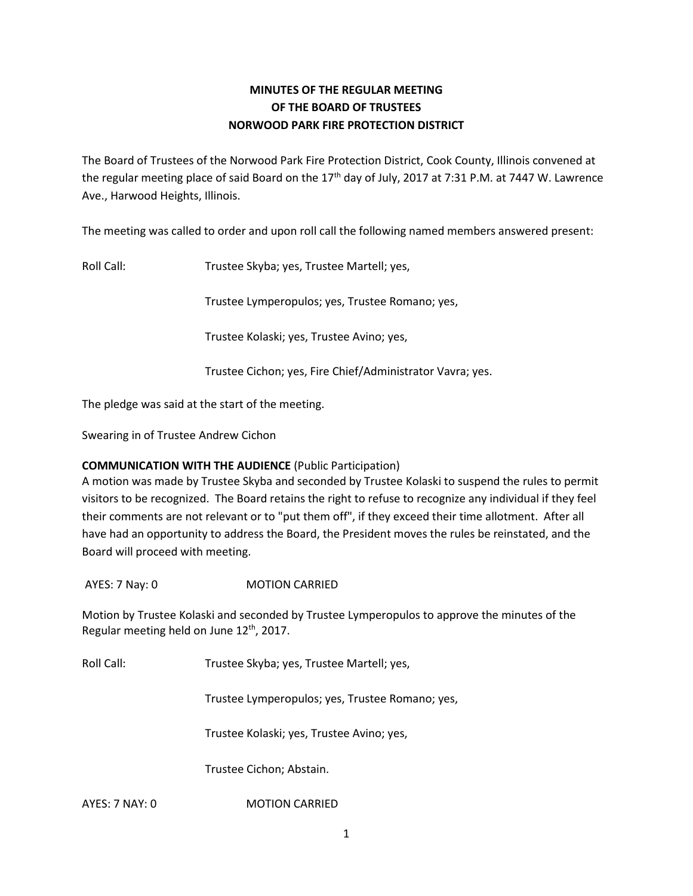# **MINUTES OF THE REGULAR MEETING OF THE BOARD OF TRUSTEES NORWOOD PARK FIRE PROTECTION DISTRICT**

The Board of Trustees of the Norwood Park Fire Protection District, Cook County, Illinois convened at the regular meeting place of said Board on the  $17<sup>th</sup>$  day of July, 2017 at 7:31 P.M. at 7447 W. Lawrence Ave., Harwood Heights, Illinois.

The meeting was called to order and upon roll call the following named members answered present:

Roll Call: Trustee Skyba; yes, Trustee Martell; yes,

Trustee Lymperopulos; yes, Trustee Romano; yes,

Trustee Kolaski; yes, Trustee Avino; yes,

Trustee Cichon; yes, Fire Chief/Administrator Vavra; yes.

The pledge was said at the start of the meeting.

Swearing in of Trustee Andrew Cichon

### **COMMUNICATION WITH THE AUDIENCE** (Public Participation)

A motion was made by Trustee Skyba and seconded by Trustee Kolaski to suspend the rules to permit visitors to be recognized. The Board retains the right to refuse to recognize any individual if they feel their comments are not relevant or to "put them off", if they exceed their time allotment. After all have had an opportunity to address the Board, the President moves the rules be reinstated, and the Board will proceed with meeting.

AYES: 7 Nay: 0 MOTION CARRIED

Motion by Trustee Kolaski and seconded by Trustee Lymperopulos to approve the minutes of the Regular meeting held on June 12<sup>th</sup>, 2017.

Roll Call: Trustee Skyba; yes, Trustee Martell; yes,

Trustee Lymperopulos; yes, Trustee Romano; yes,

Trustee Kolaski; yes, Trustee Avino; yes,

Trustee Cichon; Abstain.

AYES: 7 NAY: 0 MOTION CARRIED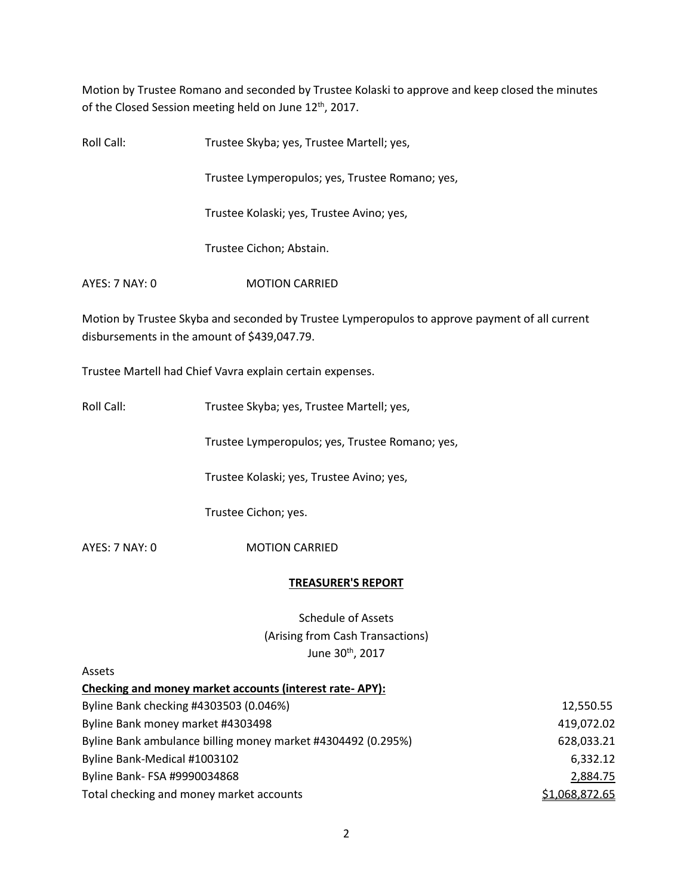Motion by Trustee Romano and seconded by Trustee Kolaski to approve and keep closed the minutes of the Closed Session meeting held on June 12<sup>th</sup>, 2017.

Roll Call: Trustee Skyba; yes, Trustee Martell; yes, Trustee Lymperopulos; yes, Trustee Romano; yes, Trustee Kolaski; yes, Trustee Avino; yes, Trustee Cichon; Abstain. AYES: 7 NAY: 0 MOTION CARRIED

Motion by Trustee Skyba and seconded by Trustee Lymperopulos to approve payment of all current disbursements in the amount of \$439,047.79.

Trustee Martell had Chief Vavra explain certain expenses.

Roll Call: Trustee Skyba; yes, Trustee Martell; yes,

Trustee Lymperopulos; yes, Trustee Romano; yes,

Trustee Kolaski; yes, Trustee Avino; yes,

Trustee Cichon; yes.

AYES: 7 NAY: 0 MOTION CARRIED

### **TREASURER'S REPORT**

Schedule of Assets (Arising from Cash Transactions) June 30<sup>th</sup>, 2017

Assets

| Checking and money market accounts (interest rate-APY):      |                |
|--------------------------------------------------------------|----------------|
| Byline Bank checking #4303503 (0.046%)                       | 12,550.55      |
| Byline Bank money market #4303498                            | 419,072.02     |
| Byline Bank ambulance billing money market #4304492 (0.295%) | 628,033.21     |
| Byline Bank-Medical #1003102                                 | 6,332.12       |
| Byline Bank- FSA #9990034868                                 | 2,884.75       |
| Total checking and money market accounts                     | \$1,068,872.65 |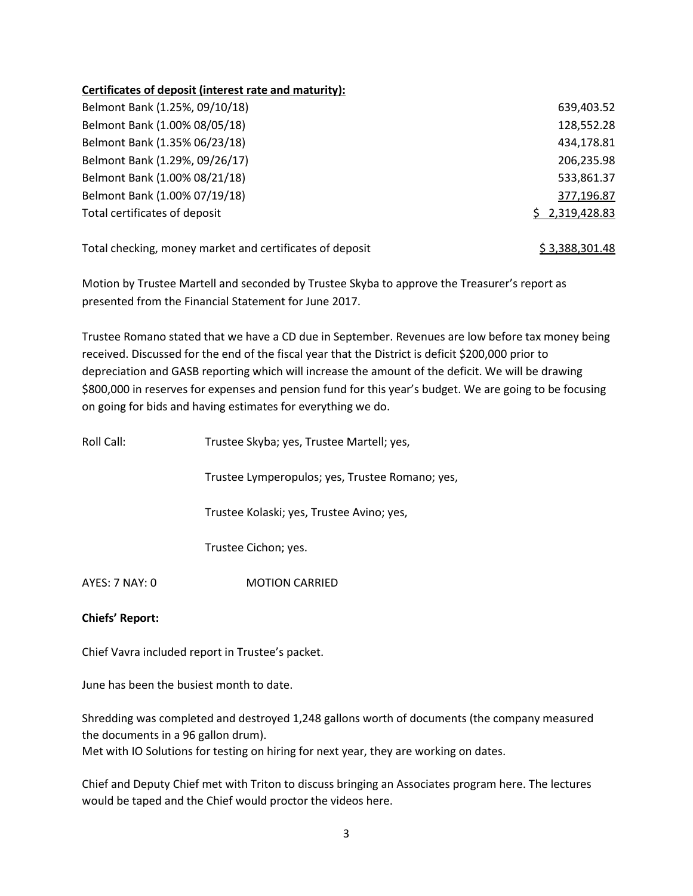## **Certificates of deposit (interest rate and maturity):**

| Belmont Bank (1.25%, 09/10/18) | 639,403.52     |
|--------------------------------|----------------|
| Belmont Bank (1.00% 08/05/18)  | 128,552.28     |
| Belmont Bank (1.35% 06/23/18)  | 434,178.81     |
| Belmont Bank (1.29%, 09/26/17) | 206,235.98     |
| Belmont Bank (1.00% 08/21/18)  | 533,861.37     |
| Belmont Bank (1.00% 07/19/18)  | 377,196.87     |
| Total certificates of deposit  | \$2,319,428.83 |
|                                |                |

Total checking, money market and certificates of deposit  $\frac{2}{3,388,301.48}$ 

Motion by Trustee Martell and seconded by Trustee Skyba to approve the Treasurer's report as presented from the Financial Statement for June 2017.

Trustee Romano stated that we have a CD due in September. Revenues are low before tax money being received. Discussed for the end of the fiscal year that the District is deficit \$200,000 prior to depreciation and GASB reporting which will increase the amount of the deficit. We will be drawing \$800,000 in reserves for expenses and pension fund for this year's budget. We are going to be focusing on going for bids and having estimates for everything we do.

| Roll Call:     | Trustee Skyba; yes, Trustee Martell; yes,       |
|----------------|-------------------------------------------------|
|                | Trustee Lymperopulos; yes, Trustee Romano; yes, |
|                | Trustee Kolaski; yes, Trustee Avino; yes,       |
|                | Trustee Cichon; yes.                            |
| AYES: 7 NAY: 0 | <b>MOTION CARRIED</b>                           |

## **Chiefs' Report:**

Chief Vavra included report in Trustee's packet.

June has been the busiest month to date.

Shredding was completed and destroyed 1,248 gallons worth of documents (the company measured the documents in a 96 gallon drum).

Met with IO Solutions for testing on hiring for next year, they are working on dates.

Chief and Deputy Chief met with Triton to discuss bringing an Associates program here. The lectures would be taped and the Chief would proctor the videos here.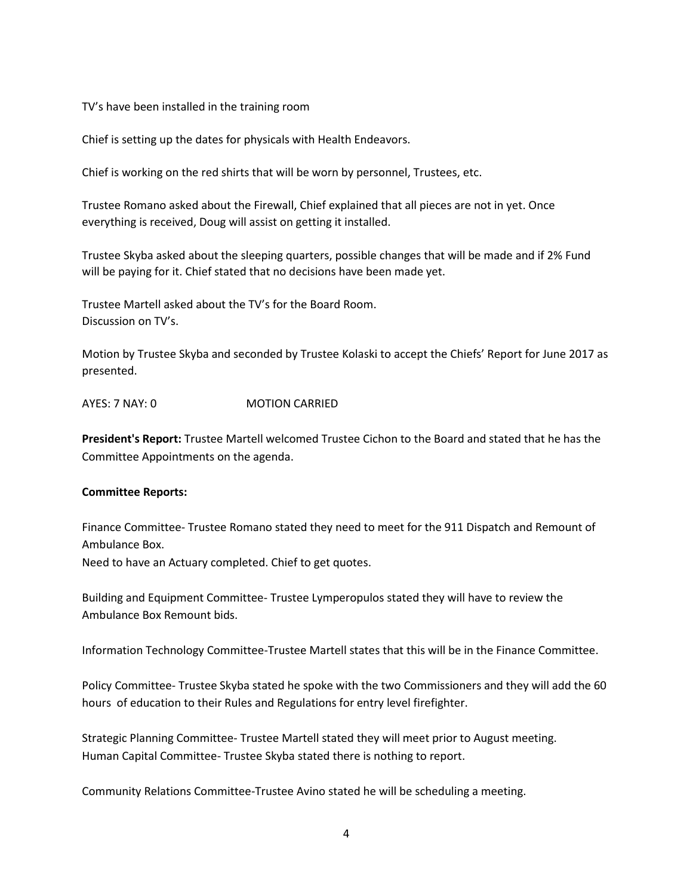TV's have been installed in the training room

Chief is setting up the dates for physicals with Health Endeavors.

Chief is working on the red shirts that will be worn by personnel, Trustees, etc.

Trustee Romano asked about the Firewall, Chief explained that all pieces are not in yet. Once everything is received, Doug will assist on getting it installed.

Trustee Skyba asked about the sleeping quarters, possible changes that will be made and if 2% Fund will be paying for it. Chief stated that no decisions have been made yet.

Trustee Martell asked about the TV's for the Board Room. Discussion on TV's.

Motion by Trustee Skyba and seconded by Trustee Kolaski to accept the Chiefs' Report for June 2017 as presented.

AYES: 7 NAY: 0 MOTION CARRIED

**President's Report:** Trustee Martell welcomed Trustee Cichon to the Board and stated that he has the Committee Appointments on the agenda.

#### **Committee Reports:**

Finance Committee- Trustee Romano stated they need to meet for the 911 Dispatch and Remount of Ambulance Box. Need to have an Actuary completed. Chief to get quotes.

Building and Equipment Committee- Trustee Lymperopulos stated they will have to review the Ambulance Box Remount bids.

Information Technology Committee-Trustee Martell states that this will be in the Finance Committee.

Policy Committee- Trustee Skyba stated he spoke with the two Commissioners and they will add the 60 hours of education to their Rules and Regulations for entry level firefighter.

Strategic Planning Committee- Trustee Martell stated they will meet prior to August meeting. Human Capital Committee- Trustee Skyba stated there is nothing to report.

Community Relations Committee-Trustee Avino stated he will be scheduling a meeting.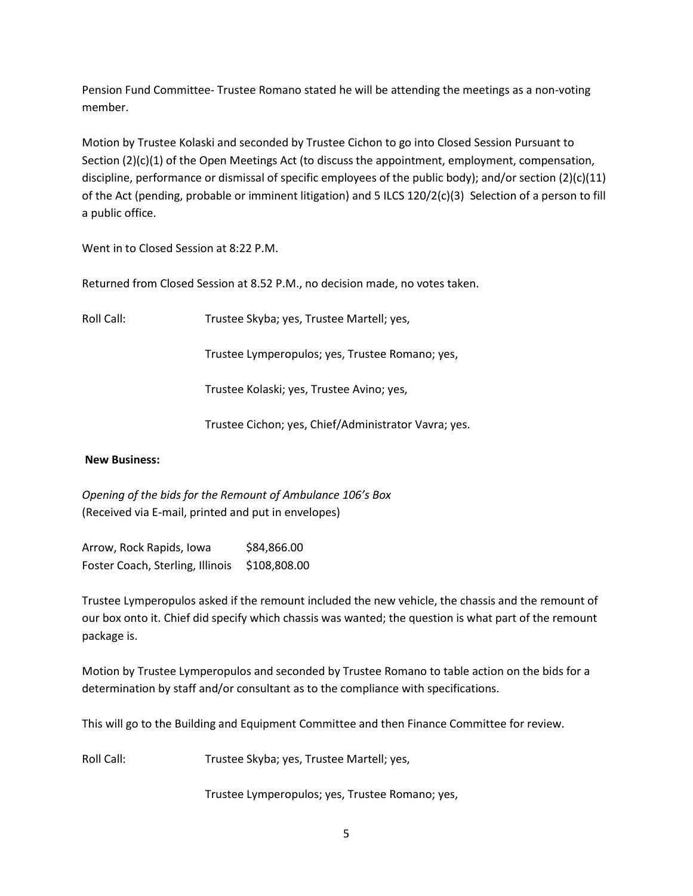Pension Fund Committee- Trustee Romano stated he will be attending the meetings as a non-voting member.

Motion by Trustee Kolaski and seconded by Trustee Cichon to go into Closed Session Pursuant to Section (2)(c)(1) of the Open Meetings Act (to discuss the appointment, employment, compensation, discipline, performance or dismissal of specific employees of the public body); and/or section  $(2)(c)(11)$ of the Act (pending, probable or imminent litigation) and 5 ILCS 120/2(c)(3) Selection of a person to fill a public office.

Went in to Closed Session at 8:22 P.M.

Returned from Closed Session at 8.52 P.M., no decision made, no votes taken.

Roll Call: Trustee Skyba; yes, Trustee Martell; yes,

Trustee Lymperopulos; yes, Trustee Romano; yes,

Trustee Kolaski; yes, Trustee Avino; yes,

Trustee Cichon; yes, Chief/Administrator Vavra; yes.

### **New Business:**

*Opening of the bids for the Remount of Ambulance 106's Box* (Received via E-mail, printed and put in envelopes)

Arrow, Rock Rapids, Iowa \$84,866.00 Foster Coach, Sterling, Illinois \$108,808.00

Trustee Lymperopulos asked if the remount included the new vehicle, the chassis and the remount of our box onto it. Chief did specify which chassis was wanted; the question is what part of the remount package is.

Motion by Trustee Lymperopulos and seconded by Trustee Romano to table action on the bids for a determination by staff and/or consultant as to the compliance with specifications.

This will go to the Building and Equipment Committee and then Finance Committee for review.

Roll Call: Trustee Skyba; yes, Trustee Martell; yes,

Trustee Lymperopulos; yes, Trustee Romano; yes,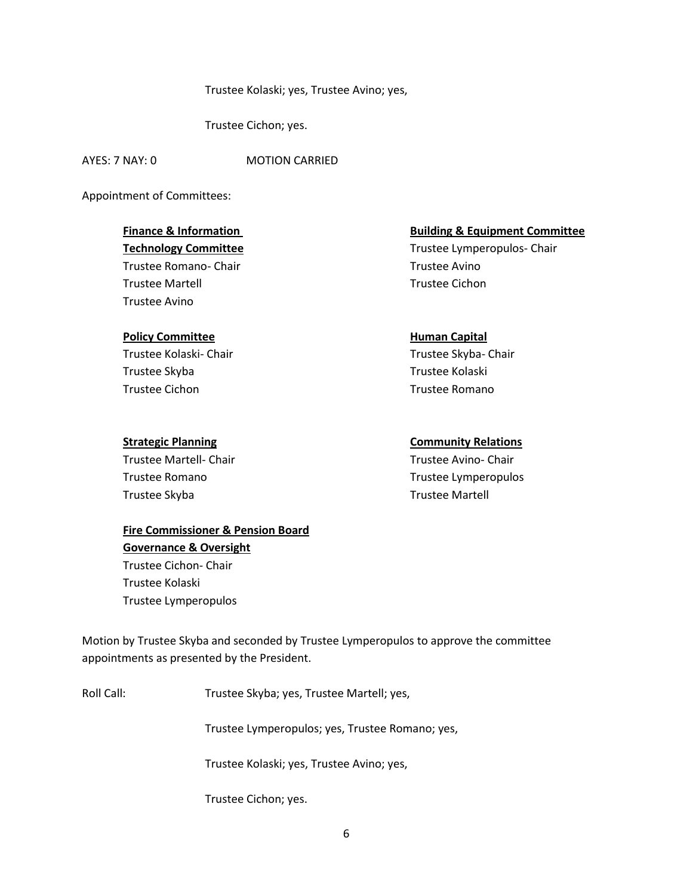### Trustee Kolaski; yes, Trustee Avino; yes,

Trustee Cichon; yes.

AYES: 7 NAY: 0 MOTION CARRIED

Appointment of Committees:

Trustee Romano- Chair Trustee Avino Trustee Martell Trustee Cichon Trustee Avino

### **Policy Committee <b>Human** Capital

Trustee Kolaski- Chair Trustee Skyba- Chair Trustee Skyba Trustee Kolaski Trustee Cichon Trustee Romano

Trustee Martell- Chair **Trustee Avino- Chair** Trustee Avino- Chair Trustee Skyba Trustee Martell

# **Fire Commissioner & Pension Board Governance & Oversight**  Trustee Cichon- Chair Trustee Kolaski Trustee Lymperopulos

**Finance & Information Committee Equipment Committee Building & Equipment Committee Technology Committee** Trustee Lymperopulos- Chair

## **Strategic Planning Community Relations**

Trustee Romano Trustee Lymperopulos

Motion by Trustee Skyba and seconded by Trustee Lymperopulos to approve the committee appointments as presented by the President.

Roll Call: Trustee Skyba; yes, Trustee Martell; yes,

Trustee Lymperopulos; yes, Trustee Romano; yes,

Trustee Kolaski; yes, Trustee Avino; yes,

Trustee Cichon; yes.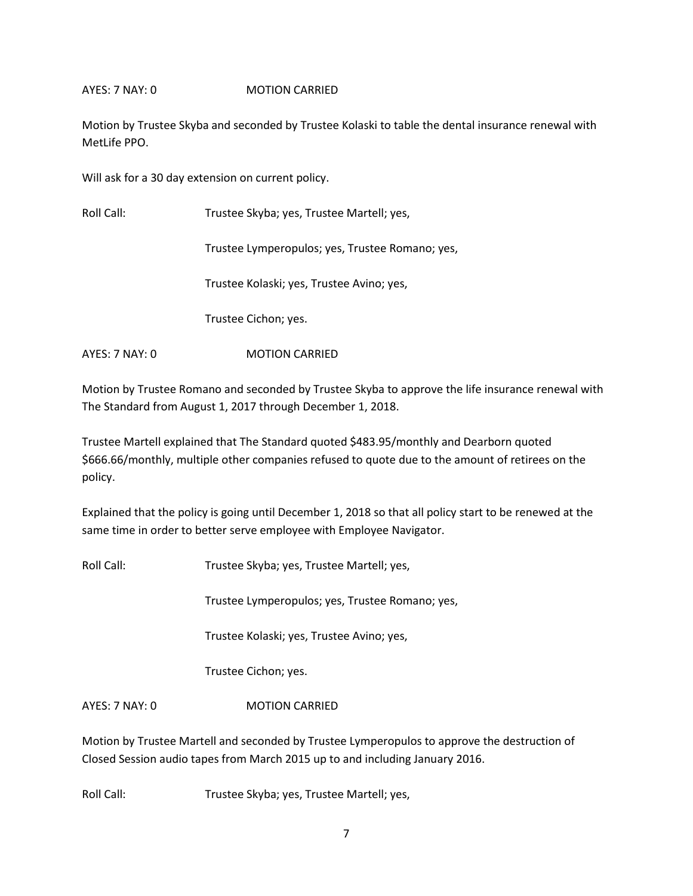## AYES: 7 NAY: 0 MOTION CARRIED

Motion by Trustee Skyba and seconded by Trustee Kolaski to table the dental insurance renewal with MetLife PPO.

Will ask for a 30 day extension on current policy.

Roll Call: Trustee Skyba; yes, Trustee Martell; yes,

Trustee Lymperopulos; yes, Trustee Romano; yes,

Trustee Kolaski; yes, Trustee Avino; yes,

Trustee Cichon; yes.

AYES: 7 NAY: 0 MOTION CARRIED

Motion by Trustee Romano and seconded by Trustee Skyba to approve the life insurance renewal with The Standard from August 1, 2017 through December 1, 2018.

Trustee Martell explained that The Standard quoted \$483.95/monthly and Dearborn quoted \$666.66/monthly, multiple other companies refused to quote due to the amount of retirees on the policy.

Explained that the policy is going until December 1, 2018 so that all policy start to be renewed at the same time in order to better serve employee with Employee Navigator.

Roll Call: Trustee Skyba; yes, Trustee Martell; yes,

Trustee Lymperopulos; yes, Trustee Romano; yes,

Trustee Kolaski; yes, Trustee Avino; yes,

Trustee Cichon; yes.

AYES: 7 NAY: 0 MOTION CARRIED

Motion by Trustee Martell and seconded by Trustee Lymperopulos to approve the destruction of Closed Session audio tapes from March 2015 up to and including January 2016.

Roll Call: Trustee Skyba; yes, Trustee Martell; yes,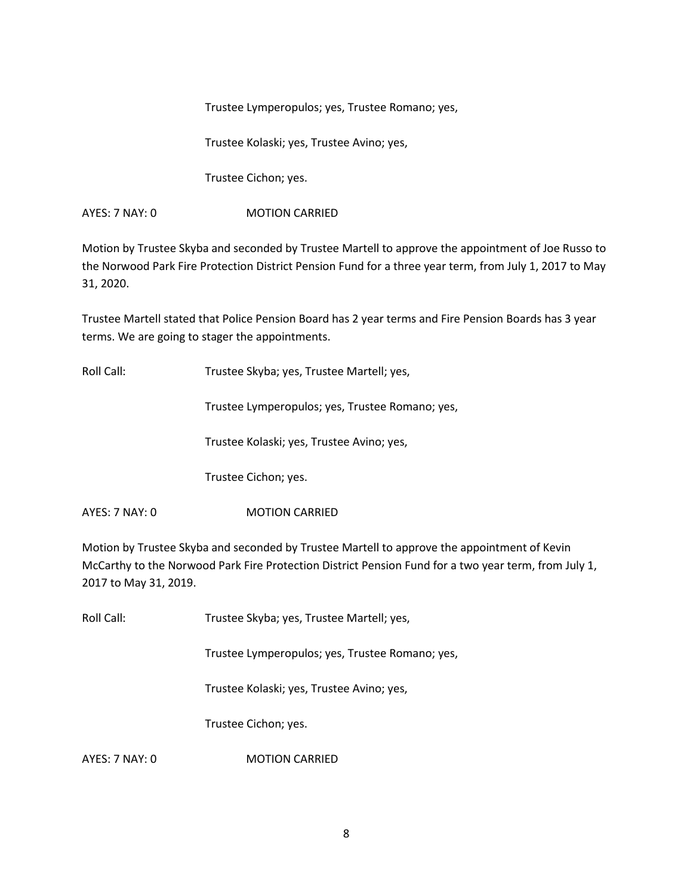Trustee Lymperopulos; yes, Trustee Romano; yes,

Trustee Kolaski; yes, Trustee Avino; yes,

Trustee Cichon; yes.

AYES: 7 NAY: 0 **MOTION CARRIED** 

Motion by Trustee Skyba and seconded by Trustee Martell to approve the appointment of Joe Russo to the Norwood Park Fire Protection District Pension Fund for a three year term, from July 1, 2017 to May 31, 2020.

Trustee Martell stated that Police Pension Board has 2 year terms and Fire Pension Boards has 3 year terms. We are going to stager the appointments.

Roll Call: Trustee Skyba; yes, Trustee Martell; yes,

Trustee Lymperopulos; yes, Trustee Romano; yes,

Trustee Kolaski; yes, Trustee Avino; yes,

Trustee Cichon; yes.

AYES: 7 NAY: 0 MOTION CARRIED

Motion by Trustee Skyba and seconded by Trustee Martell to approve the appointment of Kevin McCarthy to the Norwood Park Fire Protection District Pension Fund for a two year term, from July 1, 2017 to May 31, 2019.

Roll Call: Trustee Skyba; yes, Trustee Martell; yes,

Trustee Lymperopulos; yes, Trustee Romano; yes,

Trustee Kolaski; yes, Trustee Avino; yes,

Trustee Cichon; yes.

AYES: 7 NAY: 0 MOTION CARRIED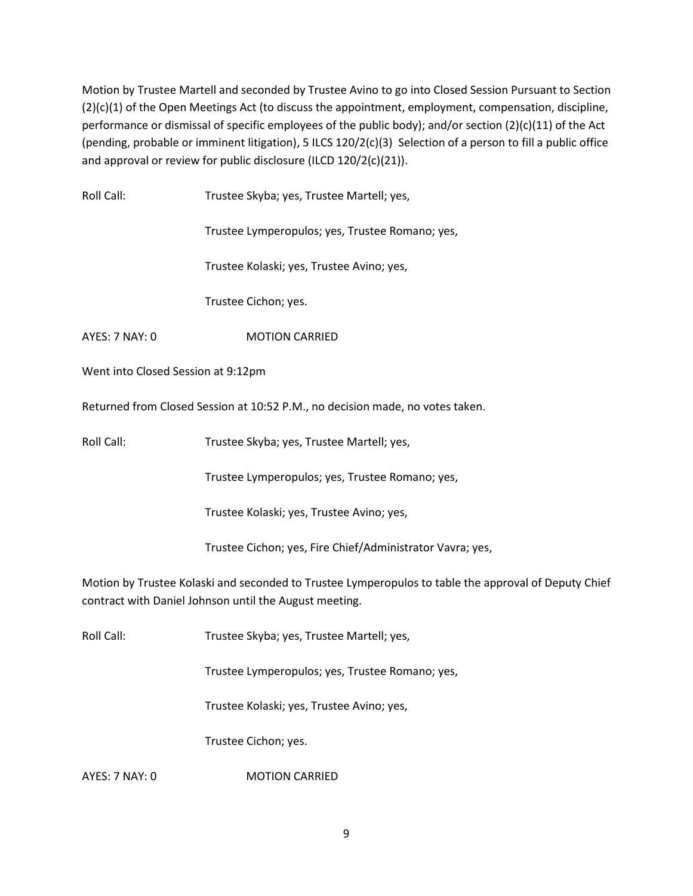Motion by Trustee Martell and seconded by Trustee Avino to go into Closed Session Pursuant to Section (2)(c)(1) of the Open Meetings Act (to discuss the appointment, employment, compensation, discipline, performance or dismissal of specific employees of the public body); and/or section (2)(c)(11) of the Act (pending, probable or imminent litigation), 5 ILCS 120/2(c)(3) Selection of a person to fill a public office and approval or review for public disclosure (ILCD 120/2(c)(21)).

| Roll Call:                                                                                                                                                     | Trustee Skyba; yes, Trustee Martell; yes,                                     |  |  |
|----------------------------------------------------------------------------------------------------------------------------------------------------------------|-------------------------------------------------------------------------------|--|--|
|                                                                                                                                                                | Trustee Lymperopulos; yes, Trustee Romano; yes,                               |  |  |
|                                                                                                                                                                | Trustee Kolaski; yes, Trustee Avino; yes,                                     |  |  |
|                                                                                                                                                                | Trustee Cichon; yes.                                                          |  |  |
| AYES: 7 NAY: 0                                                                                                                                                 | <b>MOTION CARRIED</b>                                                         |  |  |
| Went into Closed Session at 9:12pm                                                                                                                             |                                                                               |  |  |
|                                                                                                                                                                | Returned from Closed Session at 10:52 P.M., no decision made, no votes taken. |  |  |
| Roll Call:                                                                                                                                                     | Trustee Skyba; yes, Trustee Martell; yes,                                     |  |  |
|                                                                                                                                                                | Trustee Lymperopulos; yes, Trustee Romano; yes,                               |  |  |
|                                                                                                                                                                | Trustee Kolaski; yes, Trustee Avino; yes,                                     |  |  |
|                                                                                                                                                                | Trustee Cichon; yes, Fire Chief/Administrator Vavra; yes,                     |  |  |
| Motion by Trustee Kolaski and seconded to Trustee Lymperopulos to table the approval of Deputy Chief<br>contract with Daniel Johnson until the August meeting. |                                                                               |  |  |
| Roll Call:                                                                                                                                                     | Trustee Skyba; yes, Trustee Martell; yes,                                     |  |  |
|                                                                                                                                                                | Trustee Lymperopulos; yes, Trustee Romano; yes,                               |  |  |
|                                                                                                                                                                | Trustee Kolaski; yes, Trustee Avino; yes,                                     |  |  |
|                                                                                                                                                                | Trustee Cichon; yes.                                                          |  |  |
|                                                                                                                                                                |                                                                               |  |  |

AYES: 7 NAY: 0 MOTION CARRIED